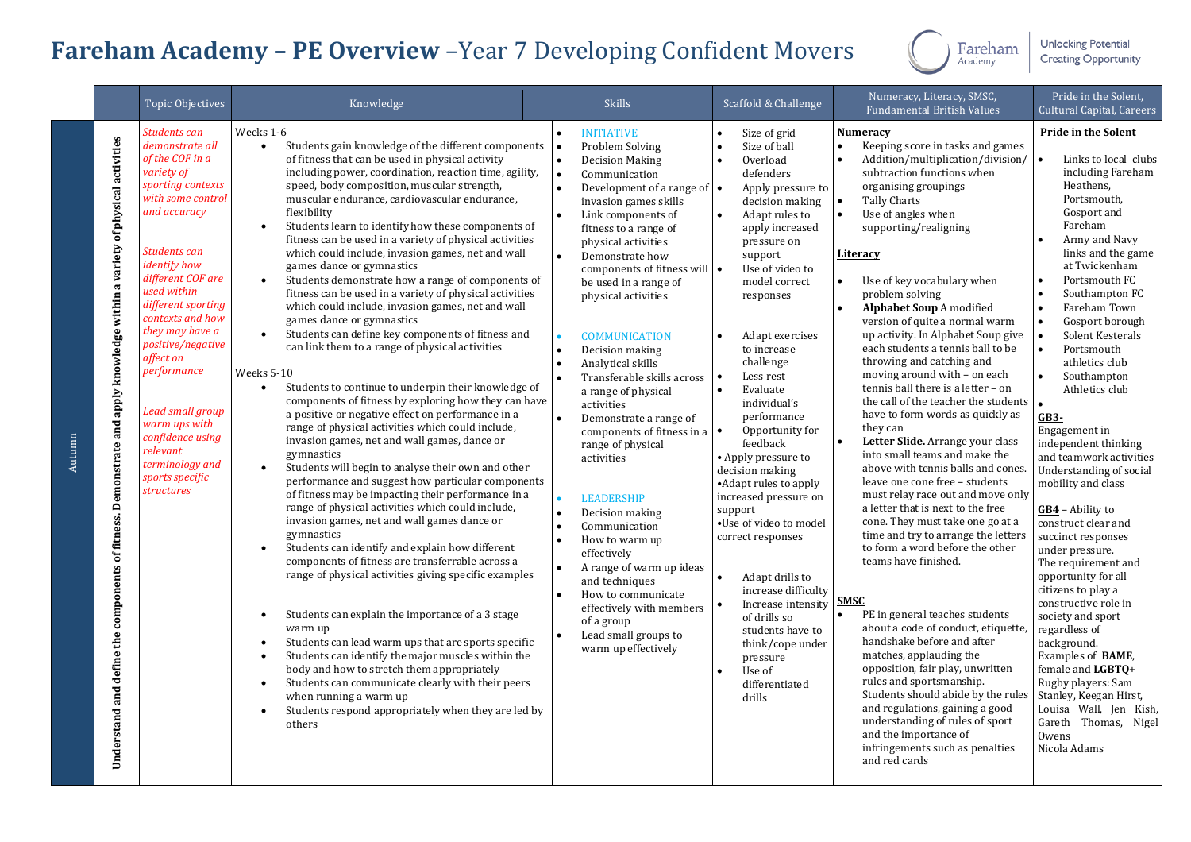## **Fareham Academy – PE Overview** –Year 7 Developing Confident Movers



**Unlocking Potential Creating Opportunity** 

|        |                                                                                                                          | <b>Topic Objectives</b>                                                                                                                                                                                                                                                                                                                                                                                                                                    | Knowledge                                                                                                                                                                                                                                                                                                                                                                                                                                                                                                                                                                                                                                                                                                                                                                                                                                                                                                                                                                                                                                                                                                                                                                                                                                                                                                                                                                                                                                                                                                                                                                                                                                                                                                                                                                                                                                                                                                                                                                                                                                                                                                | <b>Skills</b>                                                                                                                                                                                                                                                                                                                                                                                                                                                                                                                                                                                                                                                                                                                                                                                                                                                                                                           | Scaffold & Challenge                                                                                                                                                                                                                                                                                                                                                                                                                                                                                                                                                                                                                                                                                                                                                                         | Numeracy, Literacy, SMSC,<br><b>Fundamental British Values</b>                                                                                                                                                                                                                                                                                                                                                                                                                                                                                                                                                                                                                                                                                                                                                                                                                                                                                                                                                                                                                                                                                                                                                                                                                                                                                                                                                                                                                                    | Pride in the Solent,<br><b>Cultural Capital, Careers</b>                                                                                                                                                                                                                                                                                                                                                                                                                                                                                                                                                                                                                                                                                                                                                                                                                                                                                 |
|--------|--------------------------------------------------------------------------------------------------------------------------|------------------------------------------------------------------------------------------------------------------------------------------------------------------------------------------------------------------------------------------------------------------------------------------------------------------------------------------------------------------------------------------------------------------------------------------------------------|----------------------------------------------------------------------------------------------------------------------------------------------------------------------------------------------------------------------------------------------------------------------------------------------------------------------------------------------------------------------------------------------------------------------------------------------------------------------------------------------------------------------------------------------------------------------------------------------------------------------------------------------------------------------------------------------------------------------------------------------------------------------------------------------------------------------------------------------------------------------------------------------------------------------------------------------------------------------------------------------------------------------------------------------------------------------------------------------------------------------------------------------------------------------------------------------------------------------------------------------------------------------------------------------------------------------------------------------------------------------------------------------------------------------------------------------------------------------------------------------------------------------------------------------------------------------------------------------------------------------------------------------------------------------------------------------------------------------------------------------------------------------------------------------------------------------------------------------------------------------------------------------------------------------------------------------------------------------------------------------------------------------------------------------------------------------------------------------------------|-------------------------------------------------------------------------------------------------------------------------------------------------------------------------------------------------------------------------------------------------------------------------------------------------------------------------------------------------------------------------------------------------------------------------------------------------------------------------------------------------------------------------------------------------------------------------------------------------------------------------------------------------------------------------------------------------------------------------------------------------------------------------------------------------------------------------------------------------------------------------------------------------------------------------|----------------------------------------------------------------------------------------------------------------------------------------------------------------------------------------------------------------------------------------------------------------------------------------------------------------------------------------------------------------------------------------------------------------------------------------------------------------------------------------------------------------------------------------------------------------------------------------------------------------------------------------------------------------------------------------------------------------------------------------------------------------------------------------------|---------------------------------------------------------------------------------------------------------------------------------------------------------------------------------------------------------------------------------------------------------------------------------------------------------------------------------------------------------------------------------------------------------------------------------------------------------------------------------------------------------------------------------------------------------------------------------------------------------------------------------------------------------------------------------------------------------------------------------------------------------------------------------------------------------------------------------------------------------------------------------------------------------------------------------------------------------------------------------------------------------------------------------------------------------------------------------------------------------------------------------------------------------------------------------------------------------------------------------------------------------------------------------------------------------------------------------------------------------------------------------------------------------------------------------------------------------------------------------------------------|------------------------------------------------------------------------------------------------------------------------------------------------------------------------------------------------------------------------------------------------------------------------------------------------------------------------------------------------------------------------------------------------------------------------------------------------------------------------------------------------------------------------------------------------------------------------------------------------------------------------------------------------------------------------------------------------------------------------------------------------------------------------------------------------------------------------------------------------------------------------------------------------------------------------------------------|
| Autumn | Understand and define the components of fitness. Demonstrate and apply knowledge within a variety of physical activities | Students can<br>demonstrate all<br>of the COF in a<br>variety of<br>sporting contexts<br>with some control<br>and accuracy<br>Students can<br><i>identify how</i><br>different COF are<br>used within<br>different sporting<br>contexts and how<br>they may have a<br>positive/negative<br>affect on<br>performance<br><b>Lead small group</b><br>warm ups with<br>confidence using<br>relevant<br>terminology and<br>sports specific<br><b>structures</b> | Weeks 1-6<br>Students gain knowledge of the different components<br>$\bullet$<br>of fitness that can be used in physical activity<br>including power, coordination, reaction time, agility,<br>speed, body composition, muscular strength,<br>muscular endurance, cardiovascular endurance,<br>flexibility<br>Students learn to identify how these components of<br>$\bullet$<br>fitness can be used in a variety of physical activities<br>which could include, invasion games, net and wall<br>games dance or gymnastics<br>Students demonstrate how a range of components of<br>$\bullet$<br>fitness can be used in a variety of physical activities<br>which could include, invasion games, net and wall<br>games dance or gymnastics<br>Students can define key components of fitness and<br>$\bullet$<br>can link them to a range of physical activities<br>Weeks 5-10<br>Students to continue to underpin their knowledge of<br>$\bullet$<br>components of fitness by exploring how they can have<br>a positive or negative effect on performance in a<br>range of physical activities which could include,<br>invasion games, net and wall games, dance or<br>gymnastics<br>Students will begin to analyse their own and other<br>$\bullet$<br>performance and suggest how particular components<br>of fitness may be impacting their performance in a<br>range of physical activities which could include,<br>invasion games, net and wall games dance or<br>gymnastics<br>Students can identify and explain how different<br>$\bullet$<br>components of fitness are transferrable across a<br>range of physical activities giving specific examples<br>Students can explain the importance of a 3 stage<br>$\bullet$<br>warm up<br>Students can lead warm ups that are sports specific<br>$\bullet$<br>Students can identify the major muscles within the<br>$\bullet$<br>body and how to stretch them appropriately<br>Students can communicate clearly with their peers<br>$\bullet$<br>when running a warm up<br>Students respond appropriately when they are led by<br>$\bullet$<br>others | <b>INITIATIVE</b><br>$\bullet$<br>Problem Solving<br>$\bullet$<br><b>Decision Making</b><br>$\bullet$<br>Communication<br>$\bullet$<br>Development of a range of $\bullet$<br>invasion games skills<br>Link components of<br>fitness to a range of<br>physical activities<br>Demonstrate how<br>components of fitness will   •<br>be used in a range of<br>physical activities<br><b>COMMUNICATION</b><br>Decision making<br>Analytical skills<br>Transferable skills across<br>a range of physical<br>activities<br>Demonstrate a range of<br>components of fitness in a<br>range of physical<br>activities<br><b>LEADERSHIP</b><br>$\bullet$<br>Decision making<br>$\bullet$<br>Communication<br>$\bullet$<br>How to warm up<br>effectively<br>A range of warm up ideas<br>and techniques<br>How to communicate<br>$\bullet$<br>effectively with members<br>of a group<br>Lead small groups to<br>warm up effectively | Size of grid<br>Size of ball<br>Overload<br>$\bullet$<br>defenders<br>Apply pressure to<br>decision making<br>Adapt rules to<br>$\bullet$<br>apply increased<br>pressure on<br>support<br>Use of video to<br>model correct<br>responses<br>Adapt exercises<br>$\bullet$<br>to increase<br>challenge<br>Less rest<br>$\bullet$<br>$\bullet$<br>Evaluate<br>individual's<br>performance<br>Opportunity for<br>$\bullet$<br>feedback<br>• Apply pressure to<br>decision making<br>• Adapt rules to apply<br>increased pressure on<br>support<br>•Use of video to model<br>correct responses<br>Adapt drills to<br>$\bullet$<br>increase difficulty<br>Increase intensity<br>of drills so<br>students have to<br>think/cope under<br>pressure<br>Use of<br>$\bullet$<br>differentiated<br>drills | <b>Numeracy</b><br>Keeping score in tasks and games<br>$\bullet$<br>Addition/multiplication/division/<br>subtraction functions when<br>organising groupings<br><b>Tally Charts</b><br>$\bullet$<br>$\bullet$<br>Use of angles when<br>supporting/realigning<br><b>Literacy</b><br>Use of key vocabulary when<br>problem solving<br><b>Alphabet Soup A modified</b><br>$\bullet$<br>version of quite a normal warm<br>up activity. In Alphabet Soup give<br>each students a tennis ball to be<br>throwing and catching and<br>moving around with - on each<br>tennis ball there is a letter - on<br>the call of the teacher the students $\vert \bullet \vert$<br>have to form words as quickly as<br>they can<br>Letter Slide. Arrange your class<br>$\bullet$<br>into small teams and make the<br>above with tennis balls and cones.<br>leave one cone free - students<br>must relay race out and move only<br>a letter that is next to the free<br>cone. They must take one go at a<br>time and try to arrange the letters<br>to form a word before the other<br>teams have finished.<br><b>SMSC</b><br>PE in general teaches students<br>about a code of conduct, etiquette,<br>handshake before and after<br>matches, applauding the<br>opposition, fair play, unwritten<br>rules and sportsmanship.<br>Students should abide by the rules<br>and regulations, gaining a good<br>understanding of rules of sport<br>and the importance of<br>infringements such as penalties<br>and red cards | <b>Pride in the Solent</b><br>Links to local clubs<br>including Fareham<br>Heathens,<br>Portsmouth,<br>Gosport and<br>Fareham<br>Army and Navy<br>links and the game<br>at Twickenham<br>Portsmouth FC<br>Southampton FC<br>Fareham Town<br>Gosport borough<br>$\bullet$<br>Solent Kesterals<br>$\bullet$<br>$\bullet$<br>Portsmouth<br>athletics club<br>Southampton<br>Athletics club<br>GB3-<br>Engagement in<br>independent thinking<br>and teamwork activities<br>Understanding of social<br>mobility and class<br>$GB4 -$ Ability to<br>construct clear and<br>succinct responses<br>under pressure.<br>The requirement and<br>opportunity for all<br>citizens to play a<br>constructive role in<br>society and sport<br>regardless of<br>background.<br>Examples of <b>BAME</b> ,<br>female and LGBTO+<br>Rugby players: Sam<br>Stanley, Keegan Hirst,<br>Louisa Wall, Jen Kish,<br>Gareth Thomas, Nigel<br>Owens<br>Nicola Adams |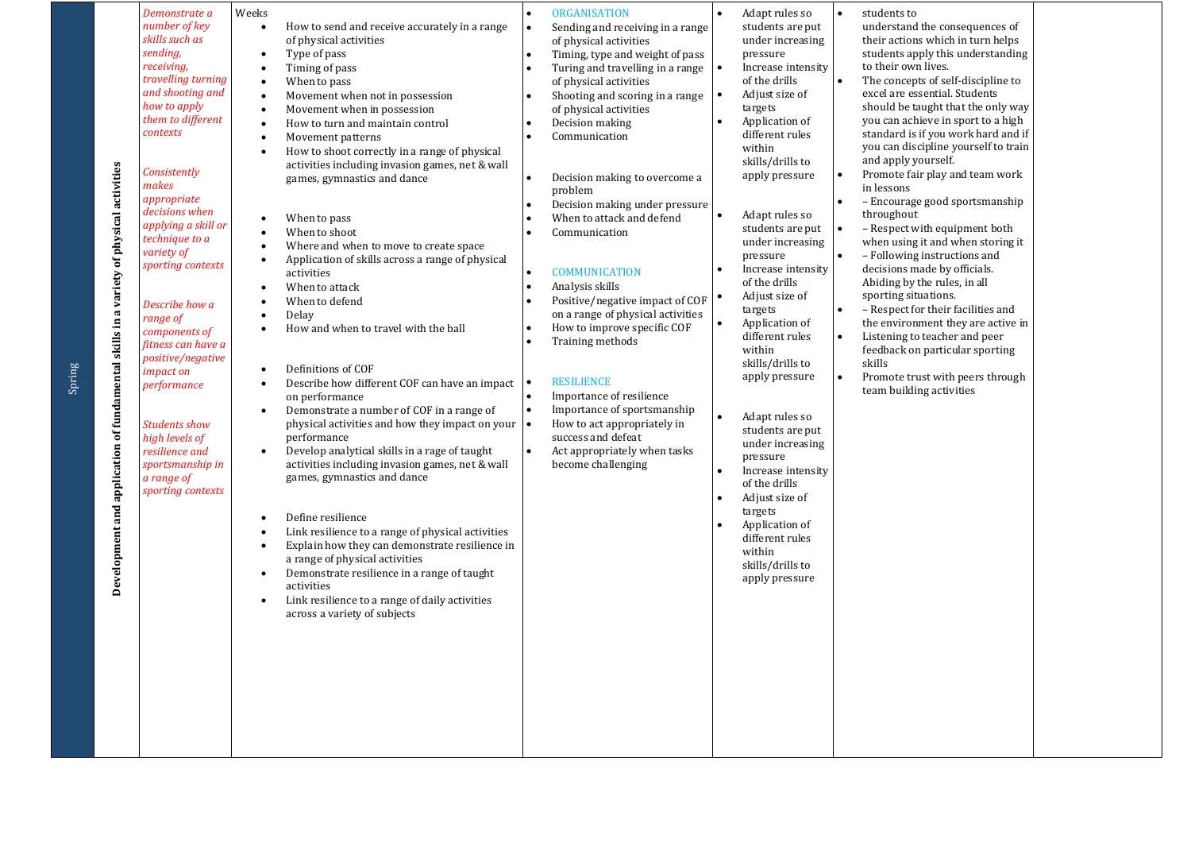| Development and application of fundamental skills in a variety of physical activities | number of kev<br>skills such as<br>sending,<br>receiving,<br>travelling turning<br>and shooting and<br>how to apply<br>them to different<br>contexts<br>Consistently<br>makes<br>appropriate<br>decisions when<br>applying a skill or<br>technique to a<br>variety of<br>sporting contexts<br>Describe how a<br>range of<br>components of<br>fitness can have a<br>positive/negative<br>impact on<br>performance<br><b>Students show</b><br>high levels of<br>resilience and<br>sportsmanship in<br>a range of<br>sporting contexts | $\bullet$<br>$\bullet$<br>$\bullet$<br>$\bullet$<br>$\bullet$<br>$\bullet$<br>$\bullet$<br>$\bullet$<br>$\bullet$<br>$\bullet$<br>$\bullet$<br>$\bullet$<br>$\bullet$<br>$\bullet$<br>$\bullet$<br>$\bullet$<br>$\bullet$<br>$\bullet$<br>$\bullet$<br>$\bullet$<br>$\bullet$<br>$\bullet$<br>$\bullet$<br>$\bullet$<br>$\bullet$<br>$\bullet$ | How to send and receive accurately in a range<br>of physical activities<br>Type of pass<br>Timing of pass<br>When to pass<br>Movement when not in possession<br>Movement when in possession<br>How to turn and maintain control<br>Movement patterns<br>How to shoot correctly in a range of physical<br>activities including invasion games, net & wall<br>games, gymnastics and dance<br>When to pass<br>When to shoot<br>Where and when to move to create space<br>Application of skills across a range of physical<br>activities<br>When to attack<br>When to defend<br>Delay<br>How and when to travel with the ball<br>Definitions of COF<br>Describe how different COF can have an impact<br>on performance<br>Demonstrate a number of COF in a range of<br>physical activities and how they impact on your<br>performance<br>Develop analytical skills in a rage of taught<br>activities including invasion games, net & wall<br>games, gymnastics and dance<br>Define resilience<br>Link resilience to a range of physical activities<br>Explain how they can demonstrate resilience in<br>a range of physical activities<br>Demonstrate resilience in a range of taught<br>activities<br>Link resilience to a range of daily activities<br>across a variety of subjects | $\bullet$<br>$\bullet$<br>$\bullet$<br>$\bullet$<br>$\bullet$ | Sending and receiving in a range<br>of physical activities<br>Timing, type and weight of pass<br>Turing and travelling in a range<br>of physical activities<br>Shooting and scoring in a range<br>of physical activities<br>Decision making<br>Communication<br>Decision making to overcome a<br>problem<br>Decision making under pressure<br>When to attack and defend<br>Communication<br><b>COMMUNICATION</b><br>Analysis skills<br>Positive/negative impact of COF<br>on a range of physical activities<br>How to improve specific COF<br>Training methods<br><b>RESILIENCE</b><br>Importance of resilience<br>Importance of sportsmanship<br>How to act appropriately in<br>success and defeat<br>Act appropriately when tasks<br>become challenging | $\bullet$<br>$\bullet$ | students are put<br>under increasing<br>pressure<br>Increase intensity<br>of the drills<br>Adjust size of<br>targets<br>Application of<br>different rules<br>within<br>skills/drills to<br>apply pressure<br>Adapt rules so<br>students are put $\bullet$<br>under increasing<br>pressure<br>Increase intensity<br>of the drills<br>Adjust size of<br>targets<br>Application of<br>different rules<br>within<br>skills/drills to<br>apply pressure<br>Adapt rules so<br>students are put<br>under increasing<br>pressure<br>Increase intensity<br>of the drills<br>Adjust size of<br>targets<br>Application of<br>different rules<br>within<br>skills/drills to<br>apply pressure | $\bullet$<br>$\bullet$<br>$\bullet$<br>$\bullet$<br>$\bullet$<br>$\bullet$<br>$\bullet$ | understand the consequences of<br>their actions which in turn helps<br>students apply this understanding<br>to their own lives.<br>The concepts of self-discipline to<br>excel are essential. Students<br>should be taught that the only way<br>you can achieve in sport to a high<br>standard is if you work hard and if<br>you can discipline yourself to train<br>and apply yourself.<br>Promote fair play and team work<br>in lessons<br>- Encourage good sportsmanship<br>throughout<br>- Respect with equipment both<br>when using it and when storing it<br>- Following instructions and<br>decisions made by officials.<br>Abiding by the rules, in all<br>sporting situations.<br>- Respect for their facilities and<br>the environment they are active in<br>Listening to teacher and peer<br>feedback on particular sporting<br>skills<br>Promote trust with peers through<br>team building activities |  |
|---------------------------------------------------------------------------------------|-------------------------------------------------------------------------------------------------------------------------------------------------------------------------------------------------------------------------------------------------------------------------------------------------------------------------------------------------------------------------------------------------------------------------------------------------------------------------------------------------------------------------------------|------------------------------------------------------------------------------------------------------------------------------------------------------------------------------------------------------------------------------------------------------------------------------------------------------------------------------------------------|-----------------------------------------------------------------------------------------------------------------------------------------------------------------------------------------------------------------------------------------------------------------------------------------------------------------------------------------------------------------------------------------------------------------------------------------------------------------------------------------------------------------------------------------------------------------------------------------------------------------------------------------------------------------------------------------------------------------------------------------------------------------------------------------------------------------------------------------------------------------------------------------------------------------------------------------------------------------------------------------------------------------------------------------------------------------------------------------------------------------------------------------------------------------------------------------------------------------------------------------------------------------------------------|---------------------------------------------------------------|-----------------------------------------------------------------------------------------------------------------------------------------------------------------------------------------------------------------------------------------------------------------------------------------------------------------------------------------------------------------------------------------------------------------------------------------------------------------------------------------------------------------------------------------------------------------------------------------------------------------------------------------------------------------------------------------------------------------------------------------------------------|------------------------|-----------------------------------------------------------------------------------------------------------------------------------------------------------------------------------------------------------------------------------------------------------------------------------------------------------------------------------------------------------------------------------------------------------------------------------------------------------------------------------------------------------------------------------------------------------------------------------------------------------------------------------------------------------------------------------|-----------------------------------------------------------------------------------------|-------------------------------------------------------------------------------------------------------------------------------------------------------------------------------------------------------------------------------------------------------------------------------------------------------------------------------------------------------------------------------------------------------------------------------------------------------------------------------------------------------------------------------------------------------------------------------------------------------------------------------------------------------------------------------------------------------------------------------------------------------------------------------------------------------------------------------------------------------------------------------------------------------------------|--|
|---------------------------------------------------------------------------------------|-------------------------------------------------------------------------------------------------------------------------------------------------------------------------------------------------------------------------------------------------------------------------------------------------------------------------------------------------------------------------------------------------------------------------------------------------------------------------------------------------------------------------------------|------------------------------------------------------------------------------------------------------------------------------------------------------------------------------------------------------------------------------------------------------------------------------------------------------------------------------------------------|-----------------------------------------------------------------------------------------------------------------------------------------------------------------------------------------------------------------------------------------------------------------------------------------------------------------------------------------------------------------------------------------------------------------------------------------------------------------------------------------------------------------------------------------------------------------------------------------------------------------------------------------------------------------------------------------------------------------------------------------------------------------------------------------------------------------------------------------------------------------------------------------------------------------------------------------------------------------------------------------------------------------------------------------------------------------------------------------------------------------------------------------------------------------------------------------------------------------------------------------------------------------------------------|---------------------------------------------------------------|-----------------------------------------------------------------------------------------------------------------------------------------------------------------------------------------------------------------------------------------------------------------------------------------------------------------------------------------------------------------------------------------------------------------------------------------------------------------------------------------------------------------------------------------------------------------------------------------------------------------------------------------------------------------------------------------------------------------------------------------------------------|------------------------|-----------------------------------------------------------------------------------------------------------------------------------------------------------------------------------------------------------------------------------------------------------------------------------------------------------------------------------------------------------------------------------------------------------------------------------------------------------------------------------------------------------------------------------------------------------------------------------------------------------------------------------------------------------------------------------|-----------------------------------------------------------------------------------------|-------------------------------------------------------------------------------------------------------------------------------------------------------------------------------------------------------------------------------------------------------------------------------------------------------------------------------------------------------------------------------------------------------------------------------------------------------------------------------------------------------------------------------------------------------------------------------------------------------------------------------------------------------------------------------------------------------------------------------------------------------------------------------------------------------------------------------------------------------------------------------------------------------------------|--|

Spring